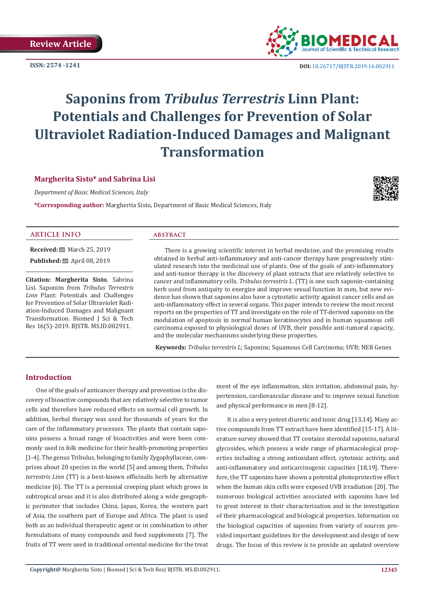**ISSN: 2574 -1241**



 **DOI:** [10.26717/BJSTR.2019.16.0029](http://dx.doi.org/10.26717/BJSTR.2019.16.002911)11

# **Saponins from** *Tribulus Terrestris* **Linn Plant: Potentials and Challenges for Prevention of Solar Ultraviolet Radiation-Induced Damages and Malignant Transformation**

### **Margherita Sisto\* and Sabrina Lisi**

*Department of Basic Medical Sciences, Italy*

**\*Corresponding author:** Margherita Sisto, Department of Basic Medical Sciences, Italy



#### **ARTICLE INFO abstract**

**Received:** March 25, 2019 **Published:** ■ April 08, 2019

**Citation: Margherita Sisto**, Sabrina Lisi. Saponins from *Tribulus Terrestris Linn* Plant: Potentials and Challenges for Prevention of Solar Ultraviolet Radiation-Induced Damages and Malignant Transformation. Biomed J Sci & Tech Res 16(5)-2019. BJSTR. MS.ID.002911.

There is a growing scientific interest in herbal medicine, and the promising results obtained in herbal anti-inflammatory and anti-cancer therapy have progressively stimulated research into the medicinal use of plants. One of the goals of anti-inflammatory and anti-tumor therapy is the discovery of plant extracts that are relatively selective to cancer and inflammatory cells. *Tribulus terrestris L*. (TT) is one such saponin-containing herb used from antiquity to energize and improve sexual function in men, but new evidence has shown that saponins also have a cytostatic activity against cancer cells and an anti-inflammatory effect in several organs. This paper intends to review the most recent reports on the properties of TT and investigate on the role of TT-derived saponins on the modulation of apoptosis in normal human keratinocytes and in human squamous cell carcinoma exposed to physiological doses of UVB, their possible anti-tumoral capacity, and the molecular mechanisms underlying these properties.

 **Keywords:** *Tribulus terrestris L*; Saponins; Squamous Cell Carcinoma; UVB; NER Genes

## **Introduction**

One of the goals of anticancer therapy and prevention is the discovery of bioactive compounds that are relatively selective to tumor cells and therefore have reduced effects on normal cell growth. In addition, herbal therapy was used for thousands of years for the care of the inflammatory processes. The plants that contain saponins possess a broad range of bioactivities and were been commonly used in folk medicine for their health-promoting properties [1-4]. The genus Tribulus, belonging to family Zygophyllaceae, comprises about 20 species in the world [5] and among them, *Tribulus terrestris Linn* (TT) is a best-known officinalis herb by alternative medicine [6]. The TT is a perennial creeping plant which grows in subtropical areas and it is also distributed along a wide geographic perimeter that includes China, Japan, Korea, the western part of Asia, the southern part of Europe and Africa. The plant is used both as an individual therapeutic agent or in combination to other formulations of many compounds and food supplements [7]. The fruits of TT were used in traditional oriental medicine for the treat ment of the eye inflammation, skin irritation, abdominal pain, hypertension, cardiovascular disease and to improve sexual function and physical performance in men [8-12].

It is also a very potent diuretic and tonic drug [13,14]. Many active compounds from TT extract have been identified [15-17]. A literature survey showed that TT contains steroidal saponins, natural glycosides, which possess a wide range of pharmacological properties including a strong antioxidant effect, cytotoxic activity, and anti-inflammatory and anticarcinogenic capacities [18,19]. Therefore, the TT saponins have shown a potential photoprotective effect when the human skin cells were exposed UVB irradiation [20]. The numerous biological activities associated with saponins have led to great interest in their characterization and in the investigation of their pharmacological and biological properties. Information on the biological capacities of saponins from variety of sources provided important guidelines for the development and design of new drugs. The focus of this review is to provide an updated overview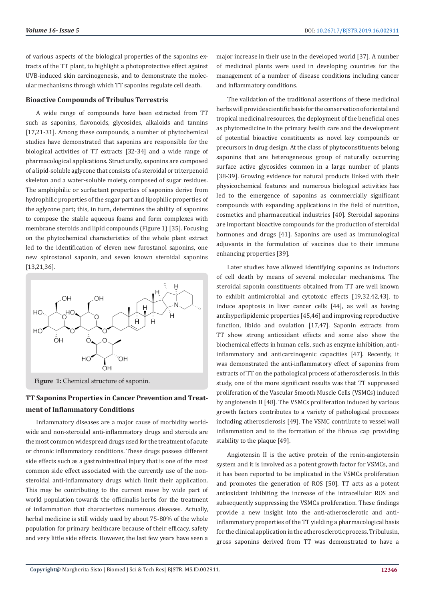of various aspects of the biological properties of the saponins extracts of the TT plant, to highlight a photoprotective effect against UVB-induced skin carcinogenesis, and to demonstrate the molecular mechanisms through which TT saponins regulate cell death.

#### **Bioactive Compounds of Tribulus Terrestris**

A wide range of compounds have been extracted from TT such as saponins, flavonoids, glycosides, alkaloids and tannins [17,21-31]. Among these compounds, a number of phytochemical studies have demonstrated that saponins are responsible for the biological activities of TT extracts [32-34] and a wide range of pharmacological applications. Structurally, saponins are composed of a lipid-soluble aglycone that consists of a steroidal or triterpenoid skeleton and a water-soluble moiety, composed of sugar residues. The amphiphilic or surfactant properties of saponins derive from hydrophilic properties of the sugar part and lipophilic properties of the aglycone part; this, in turn, determines the ability of saponins to compose the stable aqueous foams and form complexes with membrane steroids and lipid compounds (Figure 1) [35]. Focusing on the phytochemical characteristics of the whole plant extract led to the identification of eleven new furostanol saponins, one new spirostanol saponin, and seven known steroidal saponins [13,21,36].



Figure 1: Chemical structure of saponin.

# **TT Saponins Properties in Cancer Prevention and Treatment of Inflammatory Conditions**

Inflammatory diseases are a major cause of morbidity worldwide and non-steroidal anti-inflammatory drugs and steroids are the most common widespread drugs used for the treatment of acute or chronic inflammatory conditions. These drugs possess different side effects such as a gastrointestinal injury that is one of the most common side effect associated with the currently use of the nonsteroidal anti-inflammatory drugs which limit their application. This may be contributing to the current move by wide part of world population towards the officinalis herbs for the treatment of inflammation that characterizes numerous diseases. Actually, herbal medicine is still widely used by about 75-80% of the whole population for primary healthcare because of their efficacy, safety and very little side effects. However, the last few years have seen a

major increase in their use in the developed world [37]. A number of medicinal plants were used in developing countries for the management of a number of disease conditions including cancer and inflammatory conditions.

The validation of the traditional assertions of these medicinal herbs will provide scientific basis for the conservation of oriental and tropical medicinal resources, the deployment of the beneficial ones as phytomedicine in the primary health care and the development of potential bioactive constituents as novel key compounds or precursors in drug design. At the class of phytoconstituents belong saponins that are heterogeneous group of naturally occurring surface active glycosides common in a large number of plants [38-39]. Growing evidence for natural products linked with their physicochemical features and numerous biological activities has led to the emergence of saponins as commercially significant compounds with expanding applications in the field of nutrition, cosmetics and pharmaceutical industries [40]. Steroidal saponins are important bioactive compounds for the production of steroidal hormones and drugs [41]. Saponins are used as immunological adjuvants in the formulation of vaccines due to their immune enhancing properties [39].

Later studies have allowed identifying saponins as inductors of cell death by means of several molecular mechanisms. The steroidal saponin constituents obtained from TT are well known to exhibit antimicrobial and cytotoxic effects [19,32,42,43], to induce apoptosis in liver cancer cells [44], as well as having antihyperlipidemic properties [45,46] and improving reproductive function, libido and ovulation [17,47]. Saponin extracts from TT show strong antioxidant effects and some also show the biochemical effects in human cells, such as enzyme inhibition, antiinflammatory and anticarcinogenic capacities [47]. Recently, it was demonstrated the anti-inflammatory effect of saponins from extracts of TT on the pathological process of atherosclerosis. In this study, one of the more significant results was that TT suppressed proliferation of the Vascular Smooth Muscle Cells (VSMCs) induced by angiotensin II [48]. The VSMCs proliferation induced by various growth factors contributes to a variety of pathological processes including atherosclerosis [49]. The VSMC contribute to vessel wall inflammation and to the formation of the fibrous cap providing stability to the plaque [49].

Angiotensin II is the active protein of the renin-angiotensin system and it is involved as a potent growth factor for VSMCs, and it has been reported to be implicated in the VSMCs proliferation and promotes the generation of ROS [50]. TT acts as a potent antioxidant inhibiting the increase of the intracellular ROS and subsequently suppressing the VSMCs proliferation. These findings provide a new insight into the anti-atherosclerotic and antiinflammatory properties of the TT yielding a pharmacological basis for the clinical application in the atherosclerotic process. Tribulusin, gross saponins derived from TT was demonstrated to have a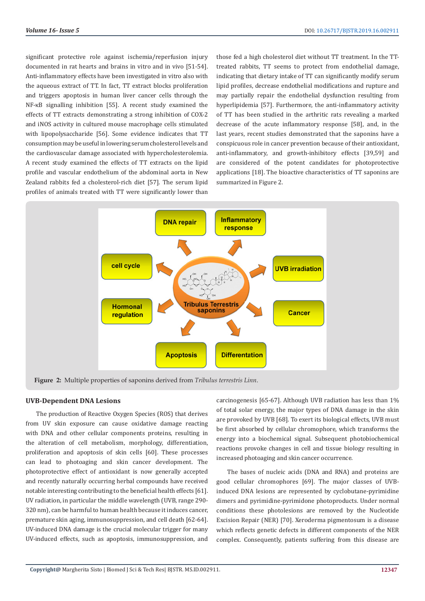significant protective role against ischemia/reperfusion injury documented in rat hearts and brains in vitro and in vivo [51-54]. Anti-inflammatory effects have been investigated in vitro also with the aqueous extract of TT. In fact, TT extract blocks proliferation and triggers apoptosis in human liver cancer cells through the NF-κB signalling inhibition [55]. A recent study examined the effects of TT extracts demonstrating a strong inhibition of COX-2 and iNOS activity in cultured mouse macrophage cells stimulated with lipopolysaccharide [56]. Some evidence indicates that TT consumption may be useful in lowering serum cholesterol levels and the cardiovascular damage associated with hypercholesterolemia. A recent study examined the effects of TT extracts on the lipid profile and vascular endothelium of the abdominal aorta in New Zealand rabbits fed a cholesterol-rich diet [57]. The serum lipid profiles of animals treated with TT were significantly lower than

those fed a high cholesterol diet without TT treatment. In the TTtreated rabbits, TT seems to protect from endothelial damage, indicating that dietary intake of TT can significantly modify serum lipid profiles, decrease endothelial modifications and rupture and may partially repair the endothelial dysfunction resulting from hyperlipidemia [57]. Furthermore, the anti-inflammatory activity of TT has been studied in the arthritic rats revealing a marked decrease of the acute inflammatory response [58], and, in the last years, recent studies demonstrated that the saponins have a conspicuous role in cancer prevention because of their antioxidant, anti-inflammatory, and growth-inhibitory effects [39,59] and are considered of the potent candidates for photoprotective applications [18]. The bioactive characteristics of TT saponins are summarized in Figure 2.



**Figure 2:** Multiple properties of saponins derived from *Tribulus terrestris Linn*.

#### **UVB-Dependent DNA Lesions**

The production of Reactive Oxygen Species (ROS) that derives from UV skin exposure can cause oxidative damage reacting with DNA and other cellular components proteins, resulting in the alteration of cell metabolism, morphology, differentiation, proliferation and apoptosis of skin cells [60]. These processes can lead to photoaging and skin cancer development. The photoprotective effect of antioxidant is now generally accepted and recently naturally occurring herbal compounds have received notable interesting contributing to the beneficial health effects [61]. UV radiation, in particular the middle wavelength (UVB, range 290- 320 nm), can be harmful to human health because it induces cancer, premature skin aging, immunosuppression, and cell death [62-64]. UV-induced DNA damage is the crucial molecular trigger for many UV-induced effects, such as apoptosis, immunosuppression, and

carcinogenesis [65-67]. Although UVB radiation has less than 1% of total solar energy, the major types of DNA damage in the skin are provoked by UVB [68]. To exert its biological effects, UVB must be first absorbed by cellular chromophore, which transforms the energy into a biochemical signal. Subsequent photobiochemical reactions provoke changes in cell and tissue biology resulting in increased photoaging and skin cancer occurrence.

The bases of nucleic acids (DNA and RNA) and proteins are good cellular chromophores [69]. The major classes of UVBinduced DNA lesions are represented by cyclobutane-pyrimidine dimers and pyrimidine-pyrimidone photoproducts. Under normal conditions these photolesions are removed by the Nucleotide Excision Repair (NER) [70]. Xeroderma pigmentosum is a disease which reflects genetic defects in different components of the NER complex. Consequently, patients suffering from this disease are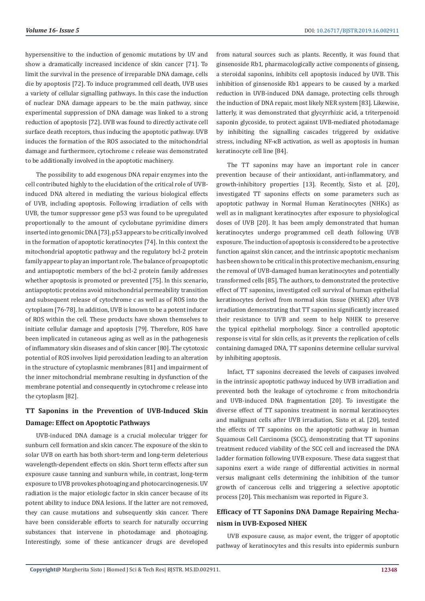hypersensitive to the induction of genomic mutations by UV and show a dramatically increased incidence of skin cancer [71]. To limit the survival in the presence of irreparable DNA damage, cells die by apoptosis [72]. To induce programmed cell death, UVB uses a variety of cellular signalling pathways. In this case the induction of nuclear DNA damage appears to be the main pathway, since experimental suppression of DNA damage was linked to a strong reduction of apoptosis [72]. UVB was found to directly activate cell surface death receptors, thus inducing the apoptotic pathway. UVB induces the formation of the ROS associated to the mitochondrial damage and furthermore, cytochrome c release was demonstrated to be additionally involved in the apoptotic machinery.

The possibility to add exogenous DNA repair enzymes into the cell contributed highly to the elucidation of the critical role of UVBinduced DNA altered in mediating the various biological effects of UVB, including apoptosis. Following irradiation of cells with UVB, the tumor suppressor gene p53 was found to be upregulated proportionally to the amount of cyclobutane pyrimidine dimers inserted into genomic DNA [73]. p53 appears to be critically involved in the formation of apoptotic keratinocytes [74]. In this context the mitochondrial apoptotic pathway and the regulatory bcl-2 protein family appear to play an important role. The balance of proapoptotic and antiapoptotic members of the bcl-2 protein family addresses whether apoptosis is promoted or prevented [75]. In this scenario, antiapoptotic proteins avoid mitochondrial permeability transition and subsequent release of cytochrome c as well as of ROS into the cytoplasm [76-78]. In addition, UVB is known to be a potent inducer of ROS within the cell. These products have shown themselves to initiate cellular damage and apoptosis [79]. Therefore, ROS have been implicated in cutaneous aging as well as in the pathogenesis of inflammatory skin diseases and of skin cancer [80]. The cytotoxic potential of ROS involves lipid peroxidation leading to an alteration in the structure of cytoplasmic membranes [81] and impairment of the inner mitochondrial membrane resulting in dysfunction of the membrane potential and consequently in cytochrome c release into the cytoplasm [82].

# **TT Saponins in the Prevention of UVB-Induced Skin Damage: Effect on Apoptotic Pathways**

UVB-induced DNA damage is a crucial molecular trigger for sunburn cell formation and skin cancer. The exposure of the skin to solar UVB on earth has both short-term and long-term deleterious wavelength-dependent effects on skin. Short term effects after sun exposure cause tanning and sunburn while, in contrast, long-term exposure to UVB provokes photoaging and photocarcinogenesis. UV radiation is the major etiologic factor in skin cancer because of its potent ability to induce DNA lesions. If the latter are not removed, they can cause mutations and subsequently skin cancer. There have been considerable efforts to search for naturally occurring substances that intervene in photodamage and photoaging. Interestingly, some of these anticancer drugs are developed

from natural sources such as plants. Recently, it was found that ginsenoside Rb1, pharmacologically active components of ginseng, a steroidal saponins, inhibits cell apoptosis induced by UVB. This inhibition of ginsenoside Rb1 appears to be caused by a marked reduction in UVB-induced DNA damage, protecting cells through the induction of DNA repair, most likely NER system [83]. Likewise, latterly, it was demonstrated that glycyrrhizic acid, a triterpenoid saponin glycoside, to protect against UVB-mediated photodamage by inhibiting the signalling cascades triggered by oxidative stress, including NF-κB activation, as well as apoptosis in human keratinocyte cell line [84].

The TT saponins may have an important role in cancer prevention because of their antioxidant, anti-inflammatory, and growth-inhibitory properties [13]. Recently, Sisto et al. [20], investigated TT saponins effects on some parameters such as apoptotic pathway in Normal Human Keratinocytes (NHKs) as well as in malignant keratinocytes after exposure to physiological doses of UVB [20]. It has been amply demonstrated that human keratinocytes undergo programmed cell death following UVB exposure. The induction of apoptosis is considered to be a protective function against skin cancer, and the intrinsic apoptotic mechanism has been shown to be critical in this protective mechanism, ensuring the removal of UVB-damaged human keratinocytes and potentially transformed cells [85]. The authors, to demonstrated the protective effect of TT saponins, investigated cell survival of human epithelial keratinocytes derived from normal skin tissue (NHEK) after UVB irradiation demonstrating that TT saponins significantly increased their resistance to UVB and seem to help NHEK to preserve the typical epithelial morphology. Since a controlled apoptotic response is vital for skin cells, as it prevents the replication of cells containing damaged DNA, TT saponins determine cellular survival by inhibiting apoptosis.

Infact, TT saponins decreased the levels of caspases involved in the intrinsic apoptotic pathway induced by UVB irradiation and prevented both the leakage of cytochrome c from mitochondria and UVB-induced DNA fragmentation [20]. To investigate the diverse effect of TT saponins treatment in normal keratinocytes and malignant cells after UVB irradiation, Sisto et al. [20], tested the effects of TT saponins on the apoptotic pathway in human Squamous Cell Carcinoma (SCC), demonstrating that TT saponins treatment reduced viability of the SCC cell and increased the DNA ladder formation following UVB exposure. These data suggest that saponins exert a wide range of differential activities in normal versus malignant cells determining the inhibition of the tumor growth of cancerous cells and triggering a selective apoptotic process [20]. This mechanism was reported in Figure 3.

## **Efficacy of TT Saponins DNA Damage Repairing Mechanism in UVB-Exposed NHEK**

UVB exposure cause, as major event, the trigger of apoptotic pathway of keratinocytes and this results into epidermis sunburn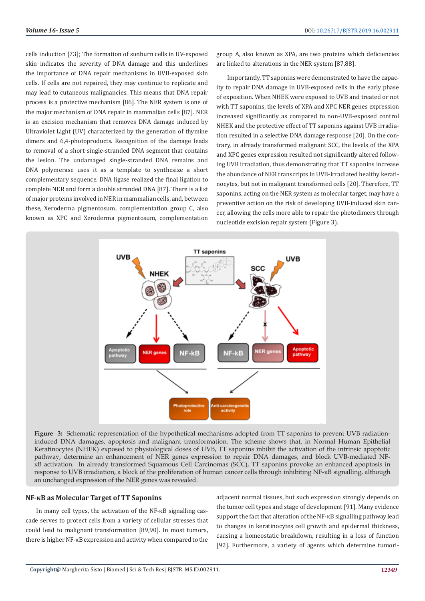cells induction [73]; The formation of sunburn cells in UV-exposed skin indicates the severity of DNA damage and this underlines the importance of DNA repair mechanisms in UVB-exposed skin cells. If cells are not repaired, they may continue to replicate and may lead to cutaneous malignancies. This means that DNA repair process is a protective mechanism [86]. The NER system is one of the major mechanism of DNA repair in mammalian cells [87]. NER is an excision mechanism that removes DNA damage induced by Ultraviolet Light (UV) characterized by the generation of thymine dimers and 6,4-photoproducts. Recognition of the damage leads to removal of a short single-stranded DNA segment that contains the lesion. The undamaged single-stranded DNA remains and DNA polymerase uses it as a template to synthesize a short complementary sequence. DNA ligase realized the final ligation to complete NER and form a double stranded DNA [87]. There is a list of major proteins involved in NER in mammalian cells, and, between these, Xeroderma pigmentosum, complementation group C, also known as XPC and Xeroderma pigmentosum, complementation

group A, also known as XPA, are two proteins which deficiencies are linked to alterations in the NER system [87,88].

Importantly, TT saponins were demonstrated to have the capacity to repair DNA damage in UVB-exposed cells in the early phase of exposition. When NHEK were exposed to UVB and treated or not with TT saponins, the levels of XPA and XPC NER genes expression increased significantly as compared to non-UVB-exposed control NHEK and the protective effect of TT saponins against UVB irradiation resulted in a selective DNA damage response [20]. On the contrary, in already transformed malignant SCC, the levels of the XPA and XPC genes expression resulted not significantly altered following UVB irradiation, thus demonstrating that TT saponins increase the abundance of NER transcripts in UVB-irradiated healthy keratinocytes, but not in malignant transformed cells [20]. Therefore, TT saponins, acting on the NER system as molecular target, may have a preventive action on the risk of developing UVB-induced skin cancer, allowing the cells more able to repair the photodimers through nucleotide excision repair system (Figure 3).



**Figure 3:** Schematic representation of the hypothetical mechanisms adopted from TT saponins to prevent UVB radiationinduced DNA damages, apoptosis and malignant transformation. The scheme shows that, in Normal Human Epithelial Keratinocytes (NHEK) exposed to physiological doses of UVB, TT saponins inhibit the activation of the intrinsic apoptotic pathway, determine an enhancement of NER genes expression to repair DNA damages, and block UVB-mediated NFκB activation. In already transformed Squamous Cell Carcinomas (SCC), TT saponins provoke an enhanced apoptosis in response to UVB irradiation, a block of the proliferation of human cancer cells through inhibiting NF-κB signalling, although an unchanged expression of the NER genes was revealed.

#### **NF-κB as Molecular Target of TT Saponins**

In many cell types, the activation of the NF-κB signalling cascade serves to protect cells from a variety of cellular stresses that could lead to malignant transformation [89,90]. In most tumors, there is higher NF-κB expression and activity when compared to the

adjacent normal tissues, but such expression strongly depends on the tumor cell types and stage of development [91]. Many evidence support the fact that alteration of the NF-κB signalling pathway lead to changes in keratinocytes cell growth and epidermal thickness, causing a homeostatic breakdown, resulting in a loss of function [92]. Furthermore, a variety of agents which determine tumori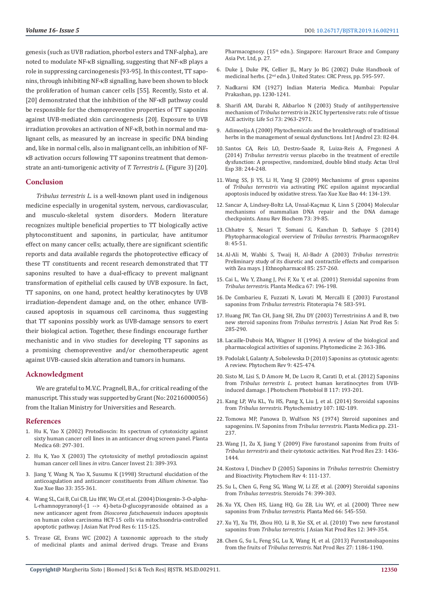genesis (such as UVB radiation, phorbol esters and TNF-alpha), are noted to modulate NF-κB signalling, suggesting that NF-κB plays a role in suppressing carcinogenesis [93-95]. In this contest, TT saponins, through inhibiting NF-κB signalling, have been shown to block the proliferation of human cancer cells [55]. Recently, Sisto et al. [20] demonstrated that the inhibition of the NF-κB pathway could be responsible for the chemopreventive properties of TT saponins against UVB-mediated skin carcinogenesis [20]. Exposure to UVB irradiation provokes an activation of NF-κB, both in normal and malignant cells, as measured by an increase in specific DNA binding and, like in normal cells, also in malignant cells, an inhibition of NFκB activation occurs following TT saponins treatment that demonstrate an anti-tumorigenic activity of *T. Terrestris L*. (Figure 3) [20].

#### **Conclusion**

*Tribulus terrestris L.* is a well-known plant used in indigenous medicine especially in urogenital system, nervous, cardiovascular, and musculo-skeletal system disorders. Modern literature recognizes multiple beneficial properties to TT biologically active phytoconstituent and saponins, in particular, have antitumor effect on many cancer cells; actually, there are significant scientific reports and data available regards the photoprotective efficacy of these TT constituents and recent research demonstrated that TT saponins resulted to have a dual-efficacy to prevent malignant transformation of epithelial cells caused by UVB exposure. In fact, TT saponins, on one hand, protect healthy keratinocytes by UVB irradiation-dependent damage and, on the other, enhance UVBcaused apoptosis in squamous cell carcinoma, thus suggesting that TT saponins possibly work as UVB-damage sensors to exert their biological action. Together, these findings encourage further mechanistic and in vivo studies for developing TT saponins as a promising chemopreventive and/or chemotherapeutic agent against UVB-caused skin alteration and tumors in humans.

#### **Acknowledgment**

We are grateful to M.V.C. Pragnell, B.A., for critical reading of the manuscript. This study was supported by Grant (No: 20216000056) from the Italian Ministry for Universities and Research.

#### **References**

- 1. [Hu K, Yao X \(2002\) Protodioscin: Its spectrum of cytotoxicity against](https://www.ncbi.nlm.nih.gov/pubmed/11988850)  [sixty human cancer cell lines in an anticancer drug screen panel. Planta](https://www.ncbi.nlm.nih.gov/pubmed/11988850)  [Medica 68: 297-301.](https://www.ncbi.nlm.nih.gov/pubmed/11988850)
- 2. [Hu K, Yao X \(2003\) The cytotoxicity of methyl protodioscin against](https://www.ncbi.nlm.nih.gov/pubmed/12901285)  human cancer cell lines *in vitro*[. Cancer Invest 21: 389-393.](https://www.ncbi.nlm.nih.gov/pubmed/12901285)
- 3. [Jiang Y, Wang N, Yao X, Susumu K \(1998\) Structural elucidation of the](https://www.ncbi.nlm.nih.gov/pubmed/12017003)  [anticoagulation and anticancer constituents from](https://www.ncbi.nlm.nih.gov/pubmed/12017003) *Allium chinense*. Yao [Xue Xue Bao 33: 355-361.](https://www.ncbi.nlm.nih.gov/pubmed/12017003)
- 4. [Wang SL, Cai B, Cui CB, Liu HW, Wu CF, et al. \(2004\) Diosgenin-3-O-alpha-](https://www.ncbi.nlm.nih.gov/pubmed/15008458)[L-rhamnopyranosyl-\(1 --> 4\)-beta-D-glucopyranoside obtained as a](https://www.ncbi.nlm.nih.gov/pubmed/15008458)  [new anticancer agent from](https://www.ncbi.nlm.nih.gov/pubmed/15008458) *Dioscorea futschauensis* induces apoptosis [on human colon carcinoma HCT-15 cells via mitochsondria-controlled](https://www.ncbi.nlm.nih.gov/pubmed/15008458)  [apoptotic pathway. J Asian Nat Prod Res 6: 115-125.](https://www.ncbi.nlm.nih.gov/pubmed/15008458)
- 5. Trease GE, Evans WC (2002) A taxonomic approach to the study of medicinal plants and animal derived drugs. Trease and Evans

Pharmacognosy. (15<sup>th</sup> edn.). Singapore: Harcourt Brace and Company Asia Pvt. Ltd, p. 27.

- 6. Duke J, Duke PK, Cellier JL, Mary Jo BG (2002) Duke Handbook of medicinal herbs. (2nd edn.). United States: CRC Press, pp. 595-597.
- 7. Nadkarni KM (1927) Indian Materia Medica. Mumbai: Popular Prakashan, pp. 1230-1241.
- 8. [Sharifi AM, Darabi R, Akbarloo N \(2003\) Study of antihypertensive](https://www.ncbi.nlm.nih.gov/pubmed/14519445) mechanism of *Tribulus terrestris* [in 2K1C hypertensive rats: role of tissue](https://www.ncbi.nlm.nih.gov/pubmed/14519445) [ACE activity. Life Sci 73: 2963-2971.](https://www.ncbi.nlm.nih.gov/pubmed/14519445)
- 9. [Adimoelja A \(2000\) Phytochemicals and the breakthrough of traditional](https://www.ncbi.nlm.nih.gov/pubmed/10849504) [herbs in the management of sexual dysfunctions. Int J Androl 23: 82-84.](https://www.ncbi.nlm.nih.gov/pubmed/10849504)
- 10. [Santos CA, Reis LO, Destro-Saade R, Luiza-Reis A, Fregonesi A](https://www.ncbi.nlm.nih.gov/pubmed/24630840) (2014) *Tribulus terrestris* [versus placebo in the treatment of erectile](https://www.ncbi.nlm.nih.gov/pubmed/24630840) [dysfunction: A prospective, randomized, double blind study. Actas Urol](https://www.ncbi.nlm.nih.gov/pubmed/24630840) [Esp 38: 244-248.](https://www.ncbi.nlm.nih.gov/pubmed/24630840)
- 11. [Wang SS, Ji YS, Li H, Yang SJ \(2009\) Mechanisms of gross saponins](https://www.ncbi.nlm.nih.gov/pubmed/19408681) of *Tribulus terrestris* [via activating PKC epsilon against myocardial](https://www.ncbi.nlm.nih.gov/pubmed/19408681) [apoptosis induced by oxidative stress. Yao Xue Xue Bao 44: 134-139.](https://www.ncbi.nlm.nih.gov/pubmed/19408681)
- 12. [Sancar A, Lindsey-Boltz LA, Unsal-Kaçmaz K, Linn S \(2004\) Molecular](https://www.ncbi.nlm.nih.gov/pubmed/15189136) [mechanisms of mammalian DNA repair and the DNA damage](https://www.ncbi.nlm.nih.gov/pubmed/15189136) [checkpoints. Annu Rev Biochem 73: 39-85.](https://www.ncbi.nlm.nih.gov/pubmed/15189136)
- 13. [Chhatre S, Nesari T, Somani G, Kanchan D, Sathaye S \(2014\)](https://www.ncbi.nlm.nih.gov/pmc/articles/PMC3931200/) [Phytopharmacological overview of](https://www.ncbi.nlm.nih.gov/pmc/articles/PMC3931200/) *Tribulus terrestris*. PharmacognRev [8: 45-51.](https://www.ncbi.nlm.nih.gov/pmc/articles/PMC3931200/)
- 14. [Al-Ali M, Wahbi S, Twaij H, Al-Badr A \(2003\)](https://www.ncbi.nlm.nih.gov/pubmed/12639749) *Tribulus terrestris*: [Preliminary study of its diuretic and contractile effects and comparison](https://www.ncbi.nlm.nih.gov/pubmed/12639749) [with Zea mays. J Ethnopharmacol 85: 257-260.](https://www.ncbi.nlm.nih.gov/pubmed/12639749)
- 15. [Cai L, Wu Y, Zhang J, Pei F, Xu Y, et al. \(2001\) Steroidal saponins from](https://www.ncbi.nlm.nih.gov/pubmed/11301880) *Tribulus terrestris*[. Planta Medica 67: 196-198.](https://www.ncbi.nlm.nih.gov/pubmed/11301880)
- 16. [De Combarieu E, Fuzzati N, Lovati M, Mercalli E \(2003\) Furostanol](https://www.ncbi.nlm.nih.gov/pubmed/12946722) saponins from *Tribulus terrestris*[. Fitoterapia 74: 583-591.](https://www.ncbi.nlm.nih.gov/pubmed/12946722)
- 17. [Huang JW, Tan CH, Jiang SH, Zhu DY \(2003\) Terrestrinins A and B, two](https://www.ncbi.nlm.nih.gov/pubmed/14604238) [new steroid saponins from](https://www.ncbi.nlm.nih.gov/pubmed/14604238) *Tribulus terrestris*. J Asian Nat Prod Res 5: [285-290.](https://www.ncbi.nlm.nih.gov/pubmed/14604238)
- 18. [Lacaille-Dubois MA, Wagner H \(1996\) A review of the biological and](https://www.ncbi.nlm.nih.gov/pubmed/23194774) [pharmacological activities of saponins. Phytomedicine 2: 363-386.](https://www.ncbi.nlm.nih.gov/pubmed/23194774)
- 19. [Podolak I, Galanty A, Sobolewska D \(2010\) Saponins as cytotoxic agents:](https://www.ncbi.nlm.nih.gov/pmc/articles/PMC2928447/) [A review. Phytochem Rev 9: 425-474.](https://www.ncbi.nlm.nih.gov/pmc/articles/PMC2928447/)
- 20. [Sisto M, Lisi S, D Amore M, De Lucro R, Carati D, et al. \(2012\) Saponins](https://www.ncbi.nlm.nih.gov/pubmed/23142932) from *Tribulus terrestris L*[. protect human keratinocytes from UVB](https://www.ncbi.nlm.nih.gov/pubmed/23142932)[induced damage. J Photochem Photobiol B 117: 193-201.](https://www.ncbi.nlm.nih.gov/pubmed/23142932)
- 21. [Kang LP, Wu KL, Yu HS, Pang X, Liu J, et al. \(2014\) Steroidal saponins](https://www.ncbi.nlm.nih.gov/pubmed/25172515) from *Tribulus terrestris*[. Phytochemistry 107: 182-189.](https://www.ncbi.nlm.nih.gov/pubmed/25172515)
- 22. [Tomowa MP, Panowa D, Wulfson NS \(1974\) Steroid saponines and](https://www.researchgate.net/publication/18329336_Steroid_saponins_and_sapogenins_IV_Saponins_from_Tribulus_terrestris) [sapogenins. IV. Saponins from](https://www.researchgate.net/publication/18329336_Steroid_saponins_and_sapogenins_IV_Saponins_from_Tribulus_terrestris) *Tribulus terrestris*. Planta Medica pp. 231- [237.](https://www.researchgate.net/publication/18329336_Steroid_saponins_and_sapogenins_IV_Saponins_from_Tribulus_terrestris)
- 23. [Wang J1, Zu X, Jiang Y \(2009\) Five furostanol saponins from fruits of](https://www.ncbi.nlm.nih.gov/pubmed/19809917) *Tribulus terrestris* [and their cytotoxic activities. Nat Prod Res 23: 1436-](https://www.ncbi.nlm.nih.gov/pubmed/19809917) [1444.](https://www.ncbi.nlm.nih.gov/pubmed/19809917)
- 24. [Kostova I, Dinchev D \(2005\) Saponins in](https://link.springer.com/article/10.1007/s11101-005-2833-x) *Tribulus terrestris*: Chemistry [and Bioactivity. Phytochem Rev 4: 111-137.](https://link.springer.com/article/10.1007/s11101-005-2833-x)
- 25. [Su L, Chen G, Feng SG, Wang W, Li ZF, et al. \(2009\) Steroidal saponins](https://www.ncbi.nlm.nih.gov/pubmed/19152803) from *Tribulus terrestris*[. Steroids 74: 399-303.](https://www.ncbi.nlm.nih.gov/pubmed/19152803)
- 26. [Xu YX, Chen HS, Liang HQ, Gu ZB, Liu WY, et al. \(2000\) Three new](https://www.ncbi.nlm.nih.gov/pubmed/10985082) saponins from *Tribulus terrestris*[. Planta Med 66: 545-550.](https://www.ncbi.nlm.nih.gov/pubmed/10985082)
- 27. [Xu YJ, Xu TH, Zhou HO, Li B, Xie SX, et al. \(2010\) Two new furostanol](https://www.ncbi.nlm.nih.gov/pubmed/20496191) saponins from *Tribulus terrestris*[. J Asian Nat Prod Res 12: 349-354.](https://www.ncbi.nlm.nih.gov/pubmed/20496191)
- 28. [Chen G, Su L, Feng SG, Lu X, Wang H, et al. \(2013\) Furostanolsaponins](https://www.ncbi.nlm.nih.gov/pubmed/22934688) from the fruits of *Tribulus terrestris*[. Nat Prod Res 27: 1186-1190.](https://www.ncbi.nlm.nih.gov/pubmed/22934688)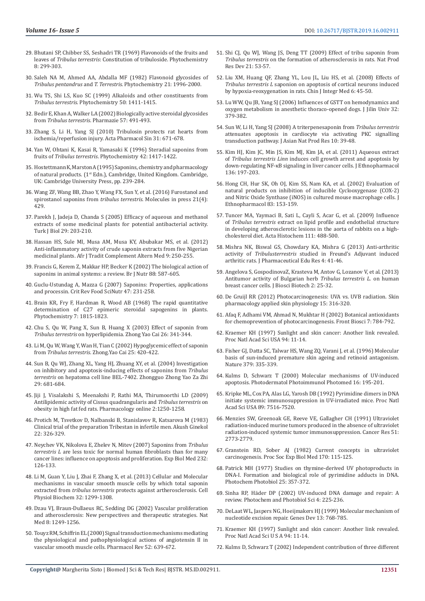- 29. [Bhutani SP, Chibber SS, Seshadri TR \(1969\) Flavonoids of the fruits and](https://www.sciencedirect.com/science/article/abs/pii/S0031942200858288)  leaves of *Tribulus terrestris*[: Constitution of tribuloside. Phytochemistry](https://www.sciencedirect.com/science/article/abs/pii/S0031942200858288)  [8: 299-303.](https://www.sciencedirect.com/science/article/abs/pii/S0031942200858288)
- 30. [Saleh NA M, Ahmed AA, Abdalla MF \(1982\) Flavonoid glycosides of](https://www.sciencedirect.com/science/article/abs/pii/0031942282830306)  *Tribulus pentandrus* and *T. Terrestris*[. Phytochemistry 21: 1996-2000.](https://www.sciencedirect.com/science/article/abs/pii/0031942282830306)
- 31. [Wu TS, Shi LS, Kuo SC \(1999\) Alkaloids and other constituents from](https://www.sciencedirect.com/science/article/abs/pii/S0031942297010868)  *Tribulus terrestris*[. Phytochemistry 50: 1411-1415.](https://www.sciencedirect.com/science/article/abs/pii/S0031942297010868)
- 32. [Bedir E, Khan A, Walker LA \(2002\) Biologically active steroidal glycosides](https://www.ncbi.nlm.nih.gov/pubmed/12168535)  from *Tribulus terrestris*[. Pharmazie 57: 491-493.](https://www.ncbi.nlm.nih.gov/pubmed/12168535)
- 33. [Zhang S, Li H, Yang SJ \(2010\) Tribulosin protects rat hearts from](https://www.ncbi.nlm.nih.gov/pubmed/20453871)  [ischemia/reperfusion injury. Acta Pharmacol Sin 31: 671-678.](https://www.ncbi.nlm.nih.gov/pubmed/20453871)
- 34. [Yan W, Ohtani K, Kasai R, Yamasaki K \(1996\) Steradial saponins from](https://www.ncbi.nlm.nih.gov/pubmed/9397208)  fruits of *Tribulus terrestris*[. Phytochemistry 42: 1417-1422.](https://www.ncbi.nlm.nih.gov/pubmed/9397208)
- 35. [Hostettmann K, Marston A \(1995\) Saponins, chemistry and pharmacology](https://www.amazon.com/Saponins-Chemistry-Pharmacology-Natural-Products/dp/0521329701)  [of natural products. \(1st Edn.\), Cambridge, United Kingdom. Cambridge,](https://www.amazon.com/Saponins-Chemistry-Pharmacology-Natural-Products/dp/0521329701)  [UK: Cambridge University Press, pp. 239-284.](https://www.amazon.com/Saponins-Chemistry-Pharmacology-Natural-Products/dp/0521329701)
- 36. [Wang ZF, Wang BB, Zhao Y, Wang FX, Sun Y, et al. \(2016\) Furostanol and](https://www.ncbi.nlm.nih.gov/pubmed/27043512)  spirostanol saponins from *tribulus terrestris*. Molecules in press 21(4): [429.](https://www.ncbi.nlm.nih.gov/pubmed/27043512)
- 37. Parekh J, Jadeja D, Chanda S (2005) Efficacy of aqueous and methanol [extracts of some medicinal plants for potential antibacterial activity.](https://www.researchgate.net/publication/239604762_Efficacy_of_Aqueous_and_Methanol_Extracts_of_Some_Medicinal_Plants_for_Potential_Antibacterial_Activity)  [Turk J Biol 29: 203-210.](https://www.researchgate.net/publication/239604762_Efficacy_of_Aqueous_and_Methanol_Extracts_of_Some_Medicinal_Plants_for_Potential_Antibacterial_Activity)
- 38. [Hassan HS, Sule MI, Musa AM, Musa KY, Abubakar MS, et al. \(2012\)](https://www.ncbi.nlm.nih.gov/pubmed/23983342)  [Anti-inflammatory activity of crude saponin extracts from five Nigerian](https://www.ncbi.nlm.nih.gov/pubmed/23983342)  [medicinal plants. Afr J Tradit Complement Altern Med 9: 250-255.](https://www.ncbi.nlm.nih.gov/pubmed/23983342)
- 39. [Francis G, Kerem Z, Makkar HP, Becker K \(2002\) The biological action of](https://www.ncbi.nlm.nih.gov/pubmed/12493081)  [saponins in animal systems: a review. Br J Nutr 88: 587-605.](https://www.ncbi.nlm.nih.gov/pubmed/12493081)
- 40. [Guclu-Ustundag A, Mazza G \(2007\) Saponins: Properties, applications](https://www.ncbi.nlm.nih.gov/pubmed/17453922)  [and processin. Crit Rev Food SciNutr 47: 231-258.](https://www.ncbi.nlm.nih.gov/pubmed/17453922)
- 41. Brain KR, Fry F, Hardman R, Wood AB (1968) The rapid quantitative determination of C27 epimeric steroidal sapogenins in plants. Phytochemistry 7: 1815-1823.
- 42. [Chu S, Qu W, Pang X, Sun B, Huang X \(2003\) Effect of saponin from](https://www.ncbi.nlm.nih.gov/pubmed/14535016)  *Tribulus terrestris* [on hyperlipidemia. Zhong Yao Cai 26: 341-344.](https://www.ncbi.nlm.nih.gov/pubmed/14535016)
- 43. [Li M, Qu W, Wang Y, Wan H, Tian C \(2002\) Hypoglycemic effect of saponin](https://www.ncbi.nlm.nih.gov/pubmed/12583337)  from *Tribulus terrestris*[. Zhong.Yao Cai 25: 420-422.](https://www.ncbi.nlm.nih.gov/pubmed/12583337)
- 44. [Sun B, Qu WJ, Zhang XL, Yang HJ, Zhuang XY, et al. \(2004\) Investigation](https://www.ncbi.nlm.nih.gov/pubmed/15503780)  [on inhibitory and apoptosis-inducing effects of saponins from](https://www.ncbi.nlm.nih.gov/pubmed/15503780) *Tribulus terrestris* [on hepatoma cell line BEL-7402. Zhongguo Zhong Yao Za Zhi](https://www.ncbi.nlm.nih.gov/pubmed/15503780)  [29: 681-684.](https://www.ncbi.nlm.nih.gov/pubmed/15503780)
- 45. [Jiji J, Visalakshi S, Meenakshi P, Rathi MA, Thirumoorthi LD \(2009\)](https://www.researchgate.net/publication/289662178_Antilipidemic_activity_of_Cissus_quadrangularis_and_Tribulus_terrestris_on_obesity_in_high_fat_fed_rats)  [Antilipidemic activity of Cissus quadrangularis and](https://www.researchgate.net/publication/289662178_Antilipidemic_activity_of_Cissus_quadrangularis_and_Tribulus_terrestris_on_obesity_in_high_fat_fed_rats) *Tribulus terrestris* on [obesity in high fat fed rats. Pharmacology online 2:1250-1258.](https://www.researchgate.net/publication/289662178_Antilipidemic_activity_of_Cissus_quadrangularis_and_Tribulus_terrestris_on_obesity_in_high_fat_fed_rats)
- 46. [Protich M, Tsvetkov D, Nalbanski B, Stanislavov R, Katsarova M \(1983\)](https://www.ncbi.nlm.nih.gov/pubmed/6367515)  [Clinical trial of the preparation Tribestan in infertile men. Akush Ginekol](https://www.ncbi.nlm.nih.gov/pubmed/6367515)  [22: 326-329.](https://www.ncbi.nlm.nih.gov/pubmed/6367515)
- 47. [Neychev VK, Nikolova E, Zhelev N, Mitev \(2007\) Saponins from](https://www.ncbi.nlm.nih.gov/pubmed/17202593) *Tribulus terrestris L* [are less toxic for normal human fibroblasts than for many](https://www.ncbi.nlm.nih.gov/pubmed/17202593)  [cancer lines: influence on apoptosis and proliferation. Exp Biol Med 232:](https://www.ncbi.nlm.nih.gov/pubmed/17202593)  [126-133.](https://www.ncbi.nlm.nih.gov/pubmed/17202593)
- 48. [Li M, Guan Y, Liu J, Zhai F, Zhang X, et al. \(2013\) Cellular and Molecular](https://www.ncbi.nlm.nih.gov/pubmed/24281565)  [mechanisms in vascular smooth muscle cells by which total saponin](https://www.ncbi.nlm.nih.gov/pubmed/24281565)  extracted from *tribulus terrestris* [protects against artherosclerosis. Cell](https://www.ncbi.nlm.nih.gov/pubmed/24281565)  [Physiol Biochem 32: 1299-1308.](https://www.ncbi.nlm.nih.gov/pubmed/24281565)
- 49. [Dzau VJ, Braun-Dullaeus RC, Sedding DG \(2002\) Vascular proliferation](https://www.ncbi.nlm.nih.gov/pubmed/12411952)  [and atherosclerosis: New perspectives and therapeutic strategies. Nat](https://www.ncbi.nlm.nih.gov/pubmed/12411952)  [Med 8: 1249-1256.](https://www.ncbi.nlm.nih.gov/pubmed/12411952)
- 50. [Touyz RM, Schiffrin EL \(2000\) Signal transduction mechanisms mediating](http://pharmrev.aspetjournals.org/content/52/4/639)  [the physiological and pathophysiological actions of angiotensin II in](http://pharmrev.aspetjournals.org/content/52/4/639)  [vascular smooth muscle cells. Pharmacol Rev 52: 639-672.](http://pharmrev.aspetjournals.org/content/52/4/639)
- 51. Shi CJ, Qu WJ, Wang JS, Deng TT (2009) Effect of tribu saponin from *Tribulus terrestris* on the formation of atherosclerosis in rats. Nat Prod Res Dev 21: 53-57.
- 52. Liu XM, Huang QF, Zhang YL, Lou JL, Liu HS, et al. (2008) Effects of *Tribulus terrestris L* saponion on apoptosis of cortical neurons induced by hypoxia-reoxygenation in rats. Chin J Integr Med 6: 45-50.
- 53. [Lu WW, Qu JB, Yang SJ \(2006\) Influences of GSTT on hemodynamics and](https://www.researchgate.net/publication/294401000_Influences_of_GSTT_on_hemodynamics_and_oxygen_metabolism_in_anesthetic_thoraco-opened_dogs) [oxygen metabolism in anesthetic thoraco-opened dogs. J Jilin Univ 32:](https://www.researchgate.net/publication/294401000_Influences_of_GSTT_on_hemodynamics_and_oxygen_metabolism_in_anesthetic_thoraco-opened_dogs) [379-382.](https://www.researchgate.net/publication/294401000_Influences_of_GSTT_on_hemodynamics_and_oxygen_metabolism_in_anesthetic_thoraco-opened_dogs)
- 54. [Sun W, Li H, Yang SJ \(2008\) A triterpenesaponin from](https://www.ncbi.nlm.nih.gov/pubmed/18058379) *Tribulus terrestris* [attenuates apoptosis in cardiocyte via activating PKC signalling](https://www.ncbi.nlm.nih.gov/pubmed/18058379) [transduction pathway. J Asian Nat Prod Res 10: 39-48.](https://www.ncbi.nlm.nih.gov/pubmed/18058379)
- 55. [Kim HJ, Kim JC, Min JS, Kim MJ, Kim JA, et al. \(2011\) Aqueous extract](https://www.ncbi.nlm.nih.gov/pubmed/21549825) of *Tribulus terrestris Linn* [induces cell growth arrest and apoptosis by](https://www.ncbi.nlm.nih.gov/pubmed/21549825) down-regulating NF-[κB signaling in liver cancer cells. J Ethnopharmacol](https://www.ncbi.nlm.nih.gov/pubmed/21549825) [136: 197-203.](https://www.ncbi.nlm.nih.gov/pubmed/21549825)
- 56. [Hong CH, Hur SK, Oh OJ, Kim SS, Nam KA, et al. \(2002\) Evaluation of](https://www.ncbi.nlm.nih.gov/pubmed/12413723) [natural products on inhibition of inducible Cyclooxygenase \(COX-2\)](https://www.ncbi.nlm.nih.gov/pubmed/12413723) [and Nitric Oxide Synthase \(iNOS\) in cultured mouse macrophage cells. J](https://www.ncbi.nlm.nih.gov/pubmed/12413723) [Ethnopharmacol 83: 153-159.](https://www.ncbi.nlm.nih.gov/pubmed/12413723)
- 57. [Tuncer MA, Yaymaci B, Sati L, Cayli S, Acar G, et al. \(2009\) Influence](https://www.ncbi.nlm.nih.gov/pubmed/19269683) of *Tribulus terrestris* [extract on lipid profile and endothelial structure](https://www.ncbi.nlm.nih.gov/pubmed/19269683) [in developing atherosclerotic lesions in the aorta of rabbits on a high](https://www.ncbi.nlm.nih.gov/pubmed/19269683)[cholesterol diet. Acta Histochem 111: 488-500.](https://www.ncbi.nlm.nih.gov/pubmed/19269683)
- 58. [Mishra NK, Biswal GS, Chowdary KA, Mishra G \(2013\) Anti-arthritic](https://web.a.ebscohost.com/abstract?direct=true&profile=ehost&scope=site&authtype=crawler&jrnl=09768173&AN=88925380&h=FkM32GyyVqkrhvn37r6jVBRUeneQVcRhr%2fvuDiFEJdasPXoKc51%2b1hwuchOLOF2i8ZggIuN42vlgl6qlGG042w%3d%3d&crl=c&resultNs=AdminWebAuth&resultLocal=ErrCrlNoProfile&crlhashurl=login.aspx%3fdirect%3dtrue%26profile%3dehost%26scope%3dsite%26authtype%3dcrawler%26jrnl%3d09768173%26AN%3d88925380) activity of *Tribulusterrestris* [studied in Freund's Adjuvant induced](https://web.a.ebscohost.com/abstract?direct=true&profile=ehost&scope=site&authtype=crawler&jrnl=09768173&AN=88925380&h=FkM32GyyVqkrhvn37r6jVBRUeneQVcRhr%2fvuDiFEJdasPXoKc51%2b1hwuchOLOF2i8ZggIuN42vlgl6qlGG042w%3d%3d&crl=c&resultNs=AdminWebAuth&resultLocal=ErrCrlNoProfile&crlhashurl=login.aspx%3fdirect%3dtrue%26profile%3dehost%26scope%3dsite%26authtype%3dcrawler%26jrnl%3d09768173%26AN%3d88925380) [arthritic rats. J Pharmaceutical Edu Res 4: 41-46.](https://web.a.ebscohost.com/abstract?direct=true&profile=ehost&scope=site&authtype=crawler&jrnl=09768173&AN=88925380&h=FkM32GyyVqkrhvn37r6jVBRUeneQVcRhr%2fvuDiFEJdasPXoKc51%2b1hwuchOLOF2i8ZggIuN42vlgl6qlGG042w%3d%3d&crl=c&resultNs=AdminWebAuth&resultLocal=ErrCrlNoProfile&crlhashurl=login.aspx%3fdirect%3dtrue%26profile%3dehost%26scope%3dsite%26authtype%3dcrawler%26jrnl%3d09768173%26AN%3d88925380)
- 59. [Angelova S, GospodinovaZ, Krasteva M, Antov G, Lozanov V, et al. \(2013\)](http://www.jbb.uni-plovdiv.bg/documents/27807/59543/jbb_2013-2(1)-pages_25-32.pdf) [Antitumor activity of Bulgarian herb](http://www.jbb.uni-plovdiv.bg/documents/27807/59543/jbb_2013-2(1)-pages_25-32.pdf) *Tribulus terrestris L.* on human [breast cancer cells. J Biosci Biotech 2: 25-32.](http://www.jbb.uni-plovdiv.bg/documents/27807/59543/jbb_2013-2(1)-pages_25-32.pdf)
- 60. De Gruijl RR (2012) Photocarcinogenesis: UVA vs. UVB radiation. Skin pharmacology applied skin physiology 15: 316-320.
- 61. [Afaq F, Adhami VM, Ahmad N, Mukhtar H \(2002\) Botanical antioxidants](https://www.ncbi.nlm.nih.gov/pubmed/11897547) [for chemoprevention of photocarcinogenesis. Front Biosci 7: 784-792.](https://www.ncbi.nlm.nih.gov/pubmed/11897547)
- 62. [Kraemer KH \(1997\) Sunlight and skin cancer: Another link revealed.](https://www.ncbi.nlm.nih.gov/pubmed/8990152) [Proc Natl Acad Sci USA 94: 11-14.](https://www.ncbi.nlm.nih.gov/pubmed/8990152)
- 63. [Fisher GJ, Datta SC, Talwar HS, Wang ZQ, Varani J, et al. \(1996\) Molecular](https://www.ncbi.nlm.nih.gov/pubmed/8552187) [basis of sun-induced premature skin ageing and retinoid antagonism.](https://www.ncbi.nlm.nih.gov/pubmed/8552187) [Nature 379: 335-339.](https://www.ncbi.nlm.nih.gov/pubmed/8552187)
- 64. [Kulms D, Schwarz T \(2000\) Molecular mechanisms of UV-induced](https://www.ncbi.nlm.nih.gov/pubmed/11068857) [apoptosis. Photodermatol Photoimmunol Photomed 16: 195-201.](https://www.ncbi.nlm.nih.gov/pubmed/11068857)
- 65. [Kripke ML, Cox PA, Alas LG, Yarosh DB \(1992\) Pyrimidine dimers in DNA](https://www.ncbi.nlm.nih.gov/pmc/articles/PMC49741/) [initiate systemic immunosuppression in UV-irradiated mice. Proc Natl](https://www.ncbi.nlm.nih.gov/pmc/articles/PMC49741/) [Acad Sci USA 89: 7516-7520.](https://www.ncbi.nlm.nih.gov/pmc/articles/PMC49741/)
- 66. [Menzies SW, Greenoak GE, Reeve VE, Gallagher CH \(1991\) Ultraviolet](https://www.ncbi.nlm.nih.gov/pubmed/2032217) [radiation-induced murine tumors produced in the absence of ultraviolet](https://www.ncbi.nlm.nih.gov/pubmed/2032217) [radiation-induced systemic tumor immunosuppression. Cancer Res 51:](https://www.ncbi.nlm.nih.gov/pubmed/2032217) [2773-2779.](https://www.ncbi.nlm.nih.gov/pubmed/2032217)
- 67. [Granstein RD, Sober AJ \(1982\) Current concepts in ultraviolet](https://journals.sagepub.com/doi/abs/10.3181/00379727-170-41406?journalCode=ebma) [carcinogenesis. Proc Soc Exp Biol Med 170: 115-125.](https://journals.sagepub.com/doi/abs/10.3181/00379727-170-41406?journalCode=ebma)
- 68. [Patrick MH \(1977\) Studies on thymine-derived UV photoproducts in](https://www.ncbi.nlm.nih.gov/pubmed/882597) [DNA-I. Formation and biological role of pyrimidine adducts in DNA.](https://www.ncbi.nlm.nih.gov/pubmed/882597) [Photochem Photobiol 25: 357-372.](https://www.ncbi.nlm.nih.gov/pubmed/882597)
- 69. Sinha RP, Häder DP (2002) UV-induced DNA damage and repair: A review. Photochem and Photobiol Sci 4: 225-236.
- 70. [DeLaat WL, Jaspers NG, Hoeijmakers HJ \(1999\) Molecular mechanism of](https://www.ncbi.nlm.nih.gov/pubmed/10197977) [nucleotide excision repair. Genes Dev 13: 768-785.](https://www.ncbi.nlm.nih.gov/pubmed/10197977)
- 71. [Kraemer KH \(1997\) Sunlight and skin cancer: Another link revealed.](https://www.ncbi.nlm.nih.gov/pubmed/8990152) [Proc Natl Acad Sci U S A 94: 11-14.](https://www.ncbi.nlm.nih.gov/pubmed/8990152)
- 72. [Kulms D, Schwarz T \(2002\) Independent contribution of three different](https://www.ncbi.nlm.nih.gov/pubmed/12213577)